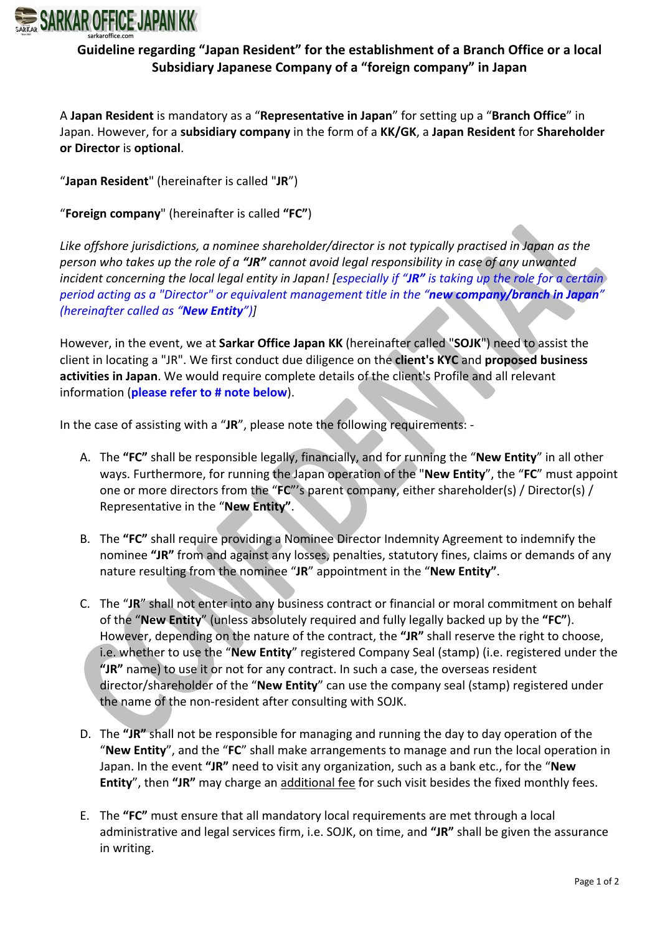

## **Guideline regarding "Japan Resident" for the establishment of a Branch Office or a local Subsidiary Japanese Company of a "foreign company" in Japan**

A **Japan Resident** is mandatory as a "**Representative in Japan**" for setting up a "**Branch Office**" in Japan. However, for a **subsidiary company** in the form of a **KK/GK**, a **Japan Resident** for **Shareholder or Director** is **optional**.

"**Japan Resident**" (hereinafter is called "**JR**")

"**Foreign company**" (hereinafter is called **"FC"**)

*Like offshore jurisdictions, a nominee shareholder/director is not typically practised in Japan as the person who takes up the role of a "JR" cannot avoid legal responsibility in case of any unwanted incident concerning the local legal entity in Japan! [especially if "JR" is taking up the role for a certain period acting as a "Director" or equivalent management title in the "new company/branch in Japan" (hereinafter called as "New Entity")]*

However, in the event, we at **Sarkar Office Japan KK** (hereinafter called "**SOJK**") need to assist the client in locating a "JR". We first conduct due diligence on the **client's KYC** and **proposed business activities in Japan**. We would require complete details of the client's Profile and all relevant information (**please refer to # note below**).

In the case of assisting with a "**JR**", please note the following requirements: -

- A. The **"FC"** shall be responsible legally, financially, and for running the "**New Entity**" in all other ways. Furthermore, for running the Japan operation of the "**New Entity**", the "**FC**" must appoint one or more directors from the "**FC**"'s parent company, either shareholder(s) / Director(s) / Representative in the "**New Entity"**.
- B. The **"FC"** shall require providing a Nominee Director Indemnity Agreement to indemnify the nominee **"JR"** from and against any losses, penalties, statutory fines, claims or demands of any nature resulting from the nominee "**JR**" appointment in the "**New Entity"**.
- C. The "**JR**" shall not enter into any business contract or financial or moral commitment on behalf of the "**New Entity**" (unless absolutely required and fully legally backed up by the **"FC"**). However, depending on the nature of the contract, the **"JR"** shall reserve the right to choose, i.e. whether to use the "**New Entity**" registered Company Seal (stamp) (i.e. registered under the **"JR"** name) to use it or not for any contract. In such a case, the overseas resident director/shareholder of the "**New Entity**" can use the company seal (stamp) registered under the name of the non-resident after consulting with SOJK.
- D. The **"JR"** shall not be responsible for managing and running the day to day operation of the "**New Entity**", and the "**FC**" shall make arrangements to manage and run the local operation in Japan. In the event **"JR"** need to visit any organization, such as a bank etc., for the "**New Entity**", then **"JR"** may charge an additional fee for such visit besides the fixed monthly fees.
- E. The **"FC"** must ensure that all mandatory local requirements are met through a local administrative and legal services firm, i.e. SOJK, on time, and **"JR"** shall be given the assurance in writing.